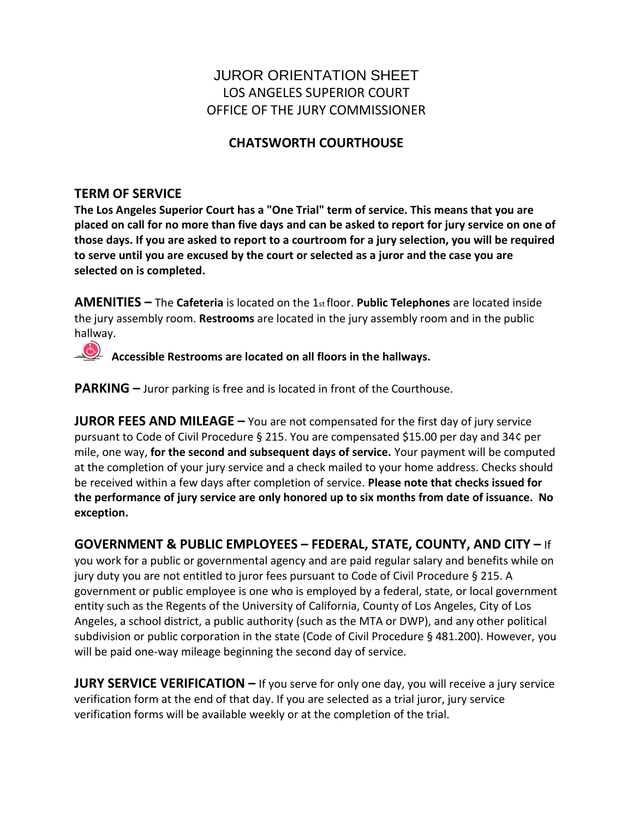# JUROR ORIENTATION SHEET LOS ANGELES SUPERIOR COURT OFFICE OF THE JURY COMMISSIONER

## **CHATSWORTH COURTHOUSE**

## **TERM OF SERVICE**

**The Los Angeles Superior Court has a "One Trial" term of service. This means that you are placed on call for no more than five days and can be asked to report for jury service on one of those days. If you are asked to report to a courtroom for a jury selection, you will be required to serve until you are excused by the court or selected as a juror and the case you are selected on is completed.** 

**AMENITIES –** The **Cafeteria** is located on the 1st floor. **Public Telephones** are located inside the jury assembly room. **Restrooms** are located in the jury assembly room and in the public hallway.

**Accessible Restrooms are located on all floors in the hallways.**

**PARKING** – Juror parking is free and is located in front of the Courthouse.

**JUROR FEES AND MILEAGE** – You are not compensated for the first day of jury service pursuant to Code of Civil Procedure § 215. You are compensated \$15.00 per day and 34¢ per mile, one way, **for the second and subsequent days of service.** Your payment will be computed at the completion of your jury service and a check mailed to your home address. Checks should be received within a few days after completion of service. **Please note that checks issued for the performance of jury service are only honored up to six months from date of issuance. No exception.**

**GOVERNMENT & PUBLIC EMPLOYEES – FEDERAL, STATE, COUNTY, AND CITY –** If you work for a public or governmental agency and are paid regular salary and benefits while on jury duty you are not entitled to juror fees pursuant to Code of Civil Procedure § 215. A government or public employee is one who is employed by a federal, state, or local government entity such as the Regents of the University of California, County of Los Angeles, City of Los Angeles, a school district, a public authority (such as the MTA or DWP), and any other political subdivision or public corporation in the state (Code of Civil Procedure § 481.200). However, you will be paid one-way mileage beginning the second day of service.

**JURY SERVICE VERIFICATION –** If you serve for only one day, you will receive a jury service verification form at the end of that day. If you are selected as a trial juror, jury service verification forms will be available weekly or at the completion of the trial.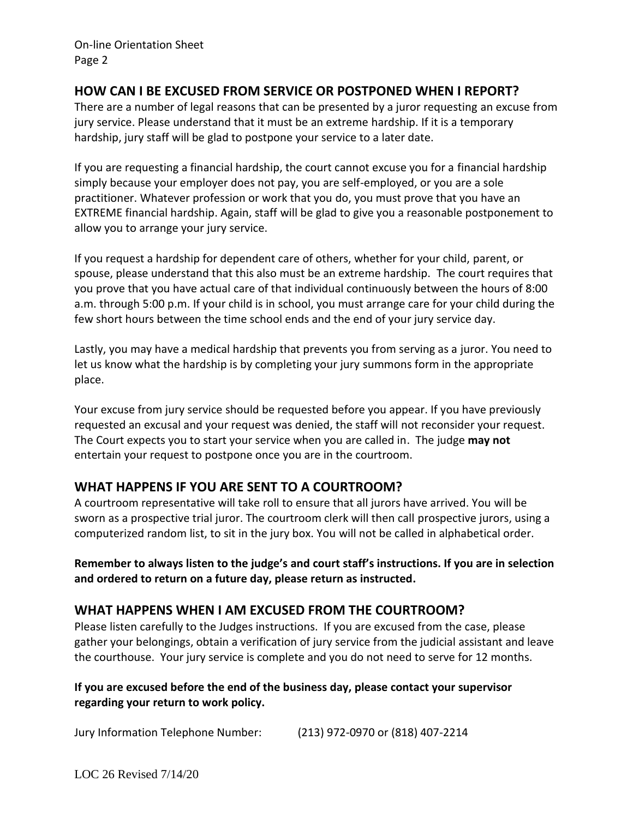On-line Orientation Sheet Page 2

#### **HOW CAN I BE EXCUSED FROM SERVICE OR POSTPONED WHEN I REPORT?**

There are a number of legal reasons that can be presented by a juror requesting an excuse from jury service. Please understand that it must be an extreme hardship. If it is a temporary hardship, jury staff will be glad to postpone your service to a later date.

If you are requesting a financial hardship, the court cannot excuse you for a financial hardship simply because your employer does not pay, you are self-employed, or you are a sole practitioner. Whatever profession or work that you do, you must prove that you have an EXTREME financial hardship. Again, staff will be glad to give you a reasonable postponement to allow you to arrange your jury service.

If you request a hardship for dependent care of others, whether for your child, parent, or spouse, please understand that this also must be an extreme hardship. The court requires that you prove that you have actual care of that individual continuously between the hours of 8:00 a.m. through 5:00 p.m. If your child is in school, you must arrange care for your child during the few short hours between the time school ends and the end of your jury service day.

Lastly, you may have a medical hardship that prevents you from serving as a juror. You need to let us know what the hardship is by completing your jury summons form in the appropriate place.

Your excuse from jury service should be requested before you appear. If you have previously requested an excusal and your request was denied, the staff will not reconsider your request. The Court expects you to start your service when you are called in. The judge **may not**  entertain your request to postpone once you are in the courtroom.

## **WHAT HAPPENS IF YOU ARE SENT TO A COURTROOM?**

A courtroom representative will take roll to ensure that all jurors have arrived. You will be sworn as a prospective trial juror. The courtroom clerk will then call prospective jurors, using a computerized random list, to sit in the jury box. You will not be called in alphabetical order.

**Remember to always listen to the judge's and court staff's instructions. If you are in selection and ordered to return on a future day, please return as instructed.**

#### **WHAT HAPPENS WHEN I AM EXCUSED FROM THE COURTROOM?**

Please listen carefully to the Judges instructions. If you are excused from the case, please gather your belongings, obtain a verification of jury service from the judicial assistant and leave the courthouse. Your jury service is complete and you do not need to serve for 12 months.

#### **If you are excused before the end of the business day, please contact your supervisor regarding your return to work policy.**

Jury Information Telephone Number: (213) 972-0970 or (818) 407-2214